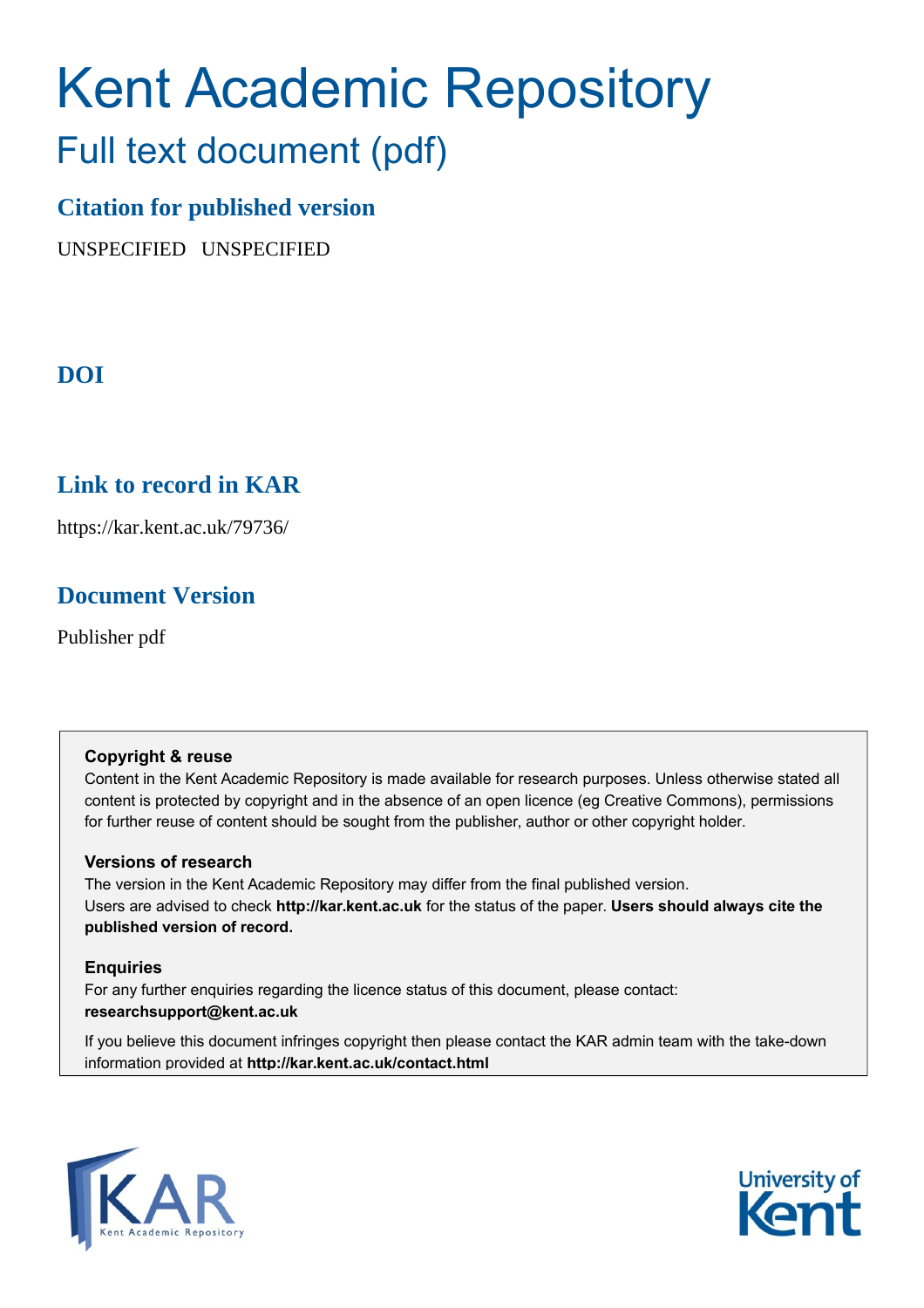# Kent Academic Repository

# Full text document (pdf)

# **Citation for published version**

UNSPECIFIED UNSPECIFIED

# **DOI**

# **Link to record in KAR**

https://kar.kent.ac.uk/79736/

# **Document Version**

Publisher pdf

## **Copyright & reuse**

Content in the Kent Academic Repository is made available for research purposes. Unless otherwise stated all content is protected by copyright and in the absence of an open licence (eg Creative Commons), permissions for further reuse of content should be sought from the publisher, author or other copyright holder.

## **Versions of research**

The version in the Kent Academic Repository may differ from the final published version. Users are advised to check **http://kar.kent.ac.uk** for the status of the paper. **Users should always cite the published version of record.**

## **Enquiries**

For any further enquiries regarding the licence status of this document, please contact: **researchsupport@kent.ac.uk**

If you believe this document infringes copyright then please contact the KAR admin team with the take-down information provided at **http://kar.kent.ac.uk/contact.html**



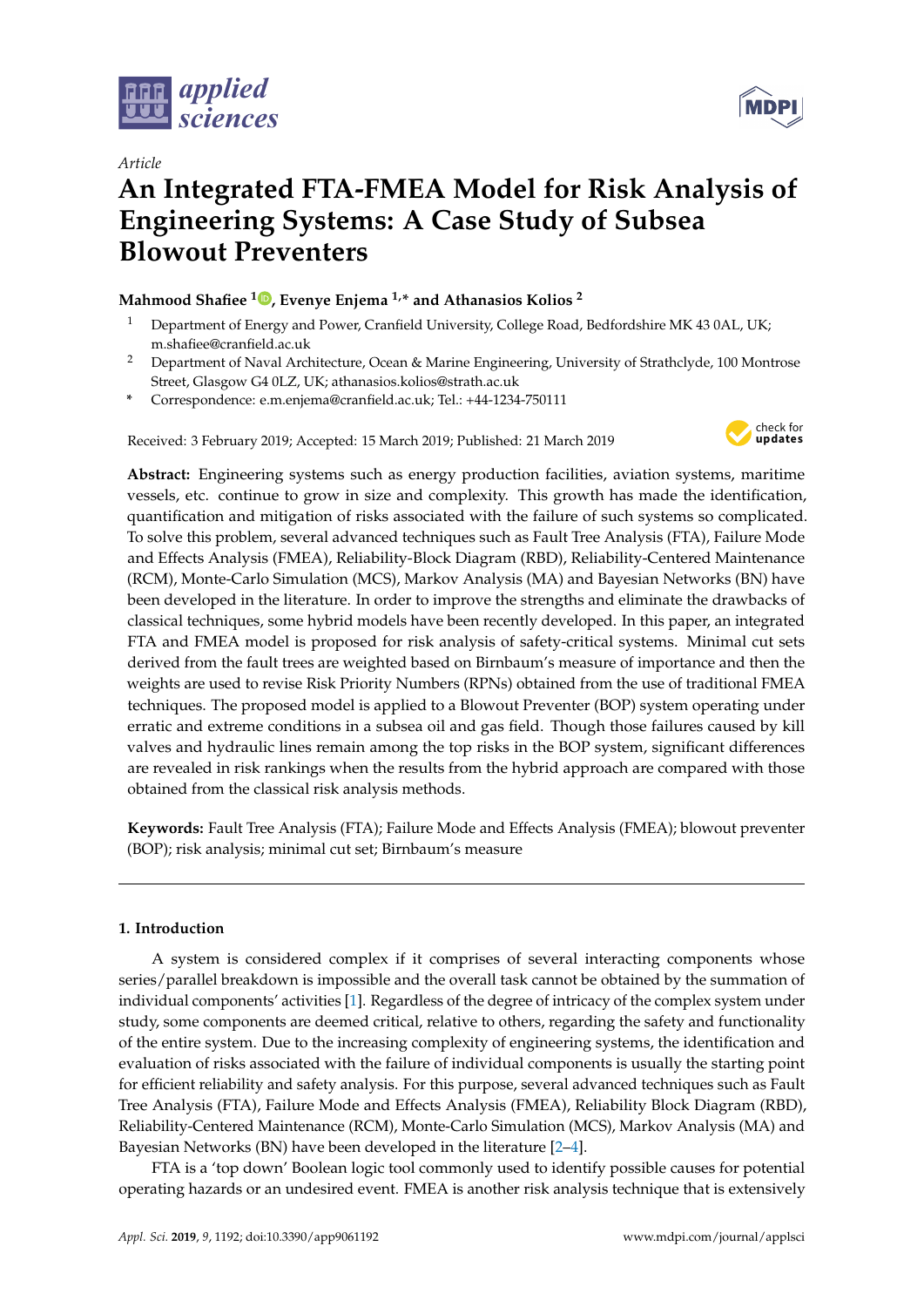





# **An Integrated FTA-FMEA Model for Risk Analysis of Engineering Systems: A Case Study of Subsea Blowout Preventers**

### **Mahmood Shafiee <sup>1</sup> [,](https://orcid.org/0000-0002-6122-5719) Evenye Enjema 1,\* and Athanasios Kolios <sup>2</sup>**

- <sup>1</sup> Department of Energy and Power, Cranfield University, College Road, Bedfordshire MK 43 0AL, UK; m.shafiee@cranfield.ac.uk
- <sup>2</sup> Department of Naval Architecture, Ocean & Marine Engineering, University of Strathclyde, 100 Montrose Street, Glasgow G4 0LZ, UK; athanasios.kolios@strath.ac.uk
- **\*** Correspondence: e.m.enjema@cranfield.ac.uk; Tel.: +44-1234-750111

Received: 3 February 2019; Accepted: 15 March 2019; Published: 21 March 2019



**Abstract:** Engineering systems such as energy production facilities, aviation systems, maritime vessels, etc. continue to grow in size and complexity. This growth has made the identification, quantification and mitigation of risks associated with the failure of such systems so complicated. To solve this problem, several advanced techniques such as Fault Tree Analysis (FTA), Failure Mode and Effects Analysis (FMEA), Reliability-Block Diagram (RBD), Reliability-Centered Maintenance (RCM), Monte-Carlo Simulation (MCS), Markov Analysis (MA) and Bayesian Networks (BN) have been developed in the literature. In order to improve the strengths and eliminate the drawbacks of classical techniques, some hybrid models have been recently developed. In this paper, an integrated FTA and FMEA model is proposed for risk analysis of safety-critical systems. Minimal cut sets derived from the fault trees are weighted based on Birnbaum's measure of importance and then the weights are used to revise Risk Priority Numbers (RPNs) obtained from the use of traditional FMEA techniques. The proposed model is applied to a Blowout Preventer (BOP) system operating under erratic and extreme conditions in a subsea oil and gas field. Though those failures caused by kill valves and hydraulic lines remain among the top risks in the BOP system, significant differences are revealed in risk rankings when the results from the hybrid approach are compared with those obtained from the classical risk analysis methods.

**Keywords:** Fault Tree Analysis (FTA); Failure Mode and Effects Analysis (FMEA); blowout preventer (BOP); risk analysis; minimal cut set; Birnbaum's measure

#### **1. Introduction**

A system is considered complex if it comprises of several interacting components whose series/parallel breakdown is impossible and the overall task cannot be obtained by the summation of individual components' activities [1]. Regardless of the degree of intricacy of the complex system under study, some components are deemed critical, relative to others, regarding the safety and functionality of the entire system. Due to the increasing complexity of engineering systems, the identification and evaluation of risks associated with the failure of individual components is usually the starting point for efficient reliability and safety analysis. For this purpose, several advanced techniques such as Fault Tree Analysis (FTA), Failure Mode and Effects Analysis (FMEA), Reliability Block Diagram (RBD), Reliability-Centered Maintenance (RCM), Monte-Carlo Simulation (MCS), Markov Analysis (MA) and Bayesian Networks (BN) have been developed in the literature [2–4].

FTA is a 'top down' Boolean logic tool commonly used to identify possible causes for potential operating hazards or an undesired event. FMEA is another risk analysis technique that is extensively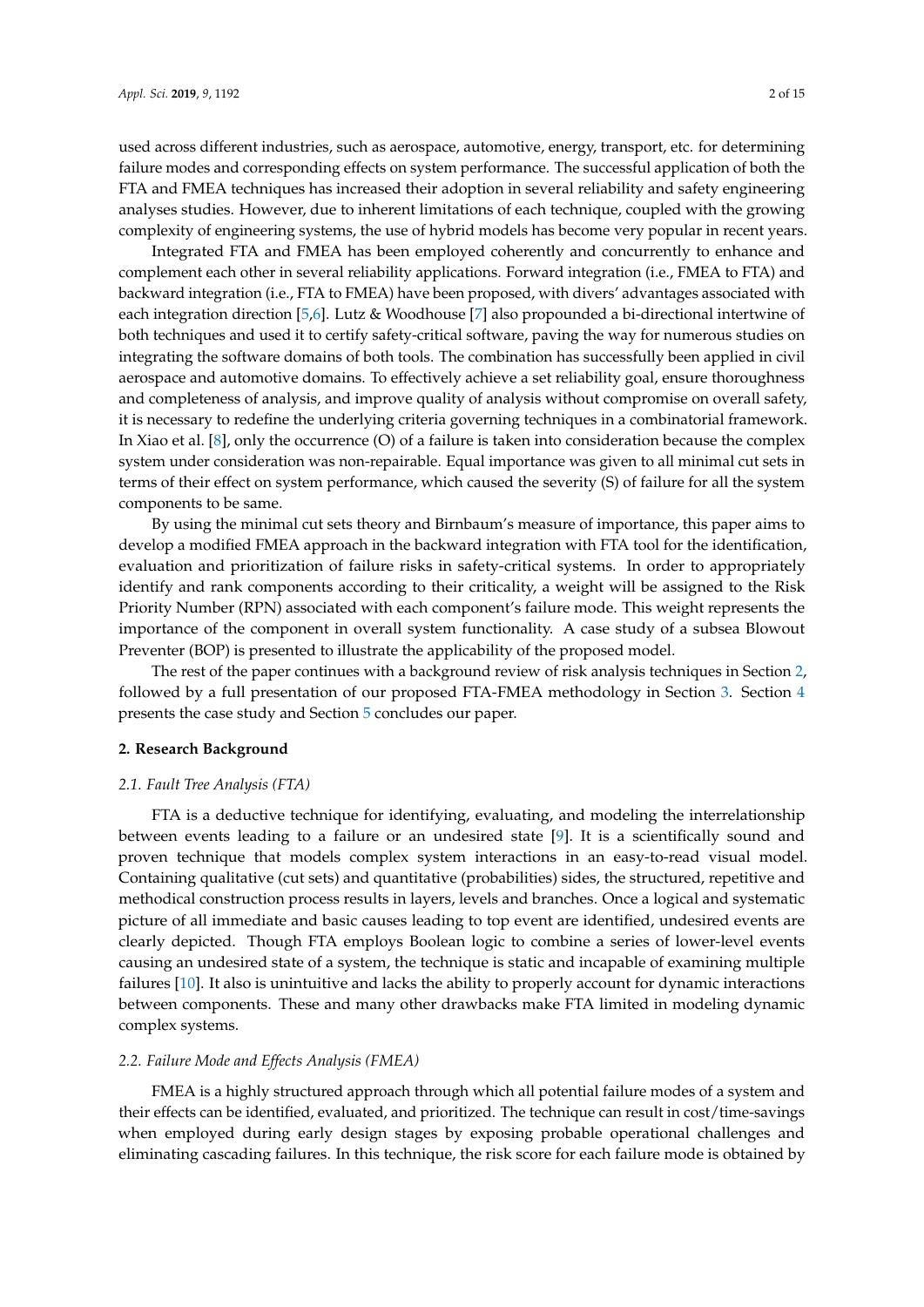used across different industries, such as aerospace, automotive, energy, transport, etc. for determining failure modes and corresponding effects on system performance. The successful application of both the FTA and FMEA techniques has increased their adoption in several reliability and safety engineering analyses studies. However, due to inherent limitations of each technique, coupled with the growing complexity of engineering systems, the use of hybrid models has become very popular in recent years.

Integrated FTA and FMEA has been employed coherently and concurrently to enhance and complement each other in several reliability applications. Forward integration (i.e., FMEA to FTA) and backward integration (i.e., FTA to FMEA) have been proposed, with divers' advantages associated with each integration direction [5,6]. Lutz & Woodhouse [7] also propounded a bi-directional intertwine of both techniques and used it to certify safety-critical software, paving the way for numerous studies on integrating the software domains of both tools. The combination has successfully been applied in civil aerospace and automotive domains. To effectively achieve a set reliability goal, ensure thoroughness and completeness of analysis, and improve quality of analysis without compromise on overall safety, it is necessary to redefine the underlying criteria governing techniques in a combinatorial framework. In Xiao et al. [8], only the occurrence (O) of a failure is taken into consideration because the complex system under consideration was non-repairable. Equal importance was given to all minimal cut sets in terms of their effect on system performance, which caused the severity (S) of failure for all the system components to be same.

By using the minimal cut sets theory and Birnbaum's measure of importance, this paper aims to develop a modified FMEA approach in the backward integration with FTA tool for the identification, evaluation and prioritization of failure risks in safety-critical systems. In order to appropriately identify and rank components according to their criticality, a weight will be assigned to the Risk Priority Number (RPN) associated with each component's failure mode. This weight represents the importance of the component in overall system functionality. A case study of a subsea Blowout Preventer (BOP) is presented to illustrate the applicability of the proposed model.

The rest of the paper continues with a background review of risk analysis techniques in Section 2, followed by a full presentation of our proposed FTA-FMEA methodology in Section 3. Section 4 presents the case study and Section 5 concludes our paper.

#### **2. Research Background**

#### *2.1. Fault Tree Analysis (FTA)*

FTA is a deductive technique for identifying, evaluating, and modeling the interrelationship between events leading to a failure or an undesired state [9]. It is a scientifically sound and proven technique that models complex system interactions in an easy-to-read visual model. Containing qualitative (cut sets) and quantitative (probabilities) sides, the structured, repetitive and methodical construction process results in layers, levels and branches. Once a logical and systematic picture of all immediate and basic causes leading to top event are identified, undesired events are clearly depicted. Though FTA employs Boolean logic to combine a series of lower-level events causing an undesired state of a system, the technique is static and incapable of examining multiple failures [10]. It also is unintuitive and lacks the ability to properly account for dynamic interactions between components. These and many other drawbacks make FTA limited in modeling dynamic complex systems.

#### *2.2. Failure Mode and Effects Analysis (FMEA)*

FMEA is a highly structured approach through which all potential failure modes of a system and their effects can be identified, evaluated, and prioritized. The technique can result in cost/time-savings when employed during early design stages by exposing probable operational challenges and eliminating cascading failures. In this technique, the risk score for each failure mode is obtained by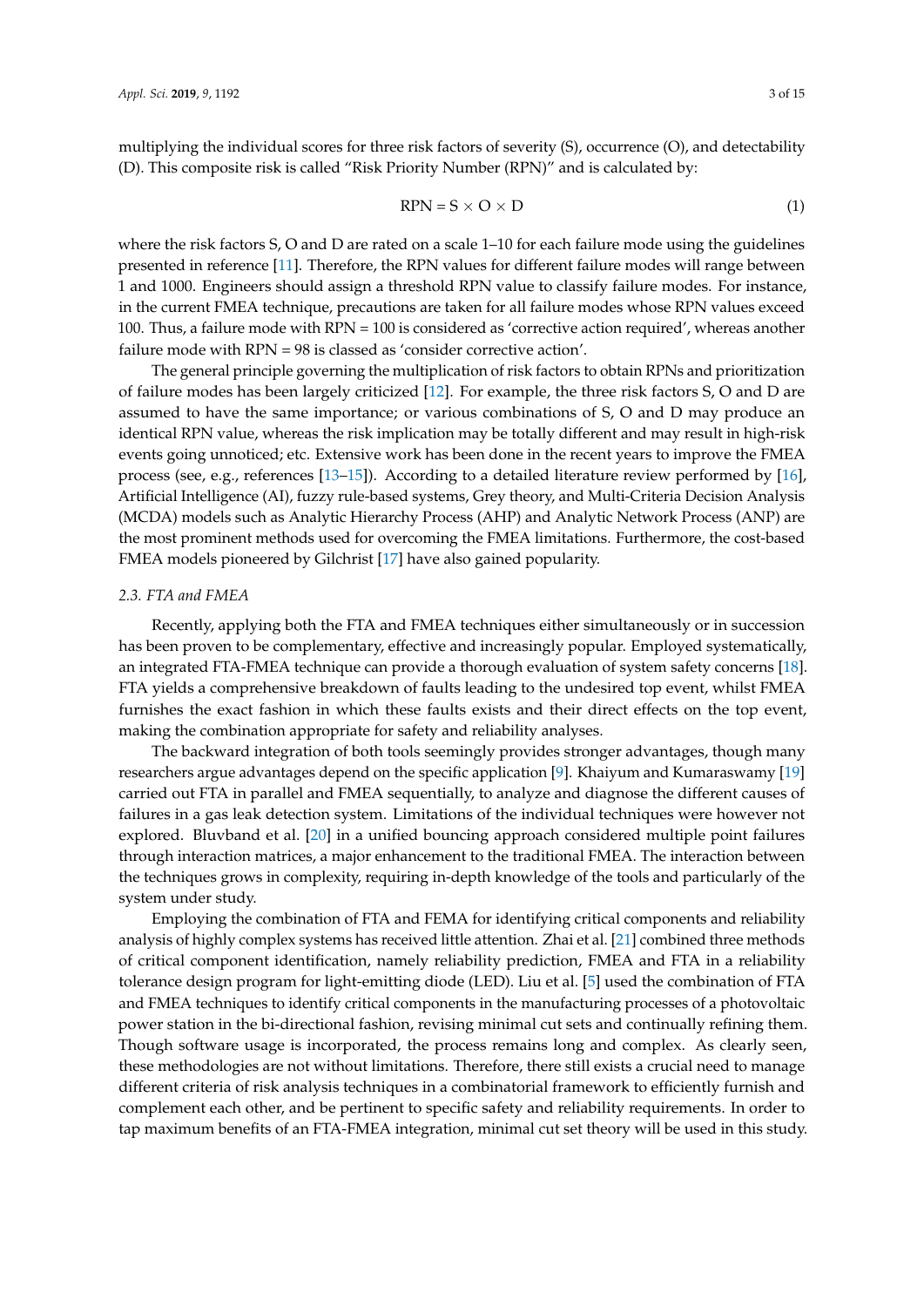multiplying the individual scores for three risk factors of severity (S), occurrence (O), and detectability (D). This composite risk is called "Risk Priority Number (RPN)" and is calculated by:

$$
RPN = S \times O \times D \tag{1}
$$

where the risk factors S, O and D are rated on a scale 1–10 for each failure mode using the guidelines presented in reference [11]. Therefore, the RPN values for different failure modes will range between 1 and 1000. Engineers should assign a threshold RPN value to classify failure modes. For instance, in the current FMEA technique, precautions are taken for all failure modes whose RPN values exceed 100. Thus, a failure mode with RPN = 100 is considered as 'corrective action required', whereas another failure mode with RPN = 98 is classed as 'consider corrective action'.

The general principle governing the multiplication of risk factors to obtain RPNs and prioritization of failure modes has been largely criticized [12]. For example, the three risk factors S, O and D are assumed to have the same importance; or various combinations of S, O and D may produce an identical RPN value, whereas the risk implication may be totally different and may result in high-risk events going unnoticed; etc. Extensive work has been done in the recent years to improve the FMEA process (see, e.g., references [13–15]). According to a detailed literature review performed by [16], Artificial Intelligence (AI), fuzzy rule-based systems, Grey theory, and Multi-Criteria Decision Analysis (MCDA) models such as Analytic Hierarchy Process (AHP) and Analytic Network Process (ANP) are the most prominent methods used for overcoming the FMEA limitations. Furthermore, the cost-based FMEA models pioneered by Gilchrist [17] have also gained popularity.

#### *2.3. FTA and FMEA*

Recently, applying both the FTA and FMEA techniques either simultaneously or in succession has been proven to be complementary, effective and increasingly popular. Employed systematically, an integrated FTA-FMEA technique can provide a thorough evaluation of system safety concerns [18]. FTA yields a comprehensive breakdown of faults leading to the undesired top event, whilst FMEA furnishes the exact fashion in which these faults exists and their direct effects on the top event, making the combination appropriate for safety and reliability analyses.

The backward integration of both tools seemingly provides stronger advantages, though many researchers argue advantages depend on the specific application [9]. Khaiyum and Kumaraswamy [19] carried out FTA in parallel and FMEA sequentially, to analyze and diagnose the different causes of failures in a gas leak detection system. Limitations of the individual techniques were however not explored. Bluvband et al. [20] in a unified bouncing approach considered multiple point failures through interaction matrices, a major enhancement to the traditional FMEA. The interaction between the techniques grows in complexity, requiring in-depth knowledge of the tools and particularly of the system under study.

Employing the combination of FTA and FEMA for identifying critical components and reliability analysis of highly complex systems has received little attention. Zhai et al. [21] combined three methods of critical component identification, namely reliability prediction, FMEA and FTA in a reliability tolerance design program for light-emitting diode (LED). Liu et al. [5] used the combination of FTA and FMEA techniques to identify critical components in the manufacturing processes of a photovoltaic power station in the bi-directional fashion, revising minimal cut sets and continually refining them. Though software usage is incorporated, the process remains long and complex. As clearly seen, these methodologies are not without limitations. Therefore, there still exists a crucial need to manage different criteria of risk analysis techniques in a combinatorial framework to efficiently furnish and complement each other, and be pertinent to specific safety and reliability requirements. In order to tap maximum benefits of an FTA-FMEA integration, minimal cut set theory will be used in this study.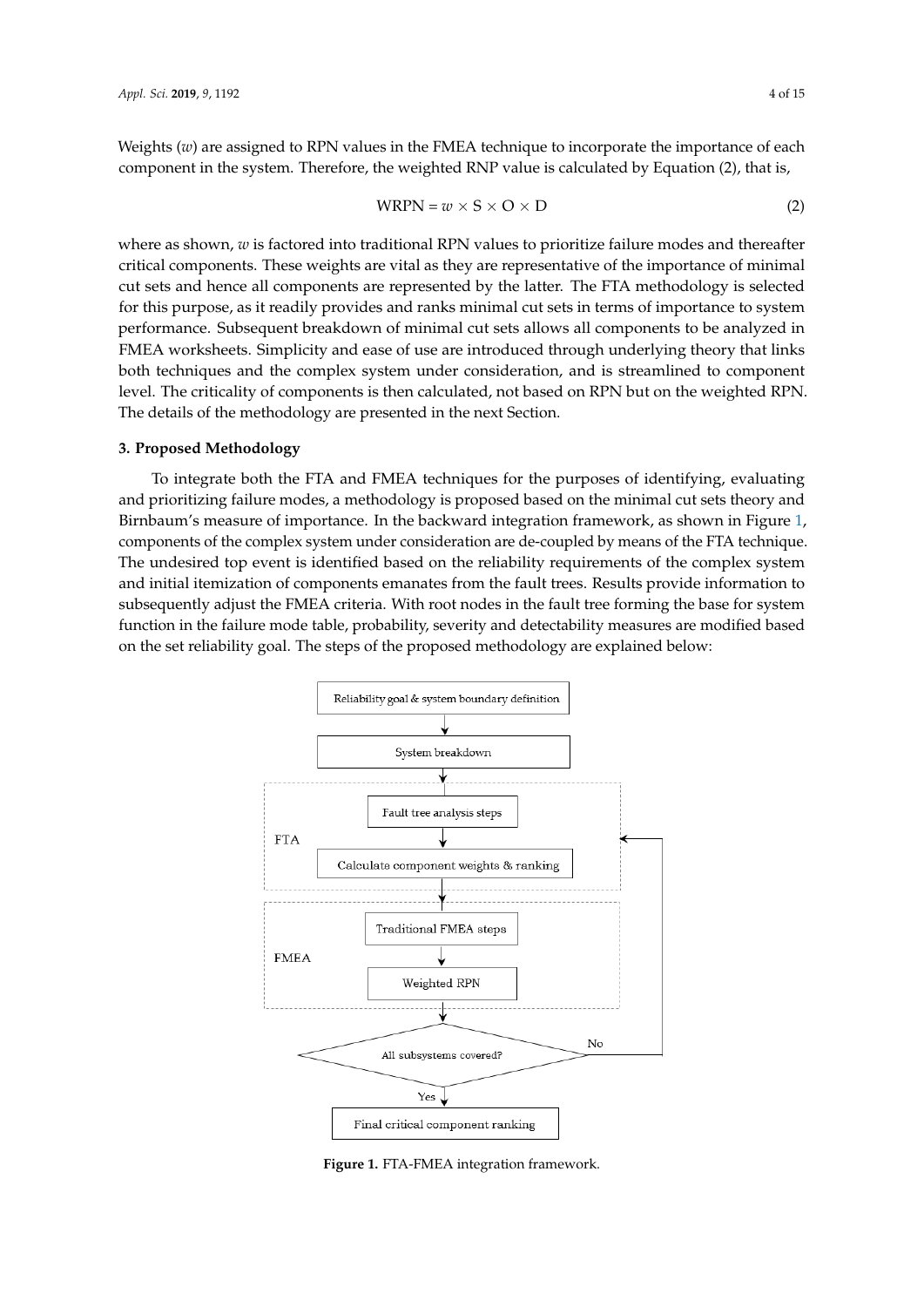Weights (*w*) are assigned to RPN values in the FMEA technique to incorporate the importance of each  $\frac{1}{2}$  component in the system. Therefore, the weighted RNP value is calculated by Equation (2), that is,  $\mathbf{F}(\mathbf{F} \mid \mathbf{F} \mid \mathbf{F} \mid \mathbf{F} \mid \mathbf{F} \mid \mathbf{F} \mid \mathbf{F} \mid \mathbf{F} \mid \mathbf{F} \mid \mathbf{F} \mid \mathbf{F} \mid \mathbf{F} \mid \mathbf{F} \mid \mathbf{F} \mid \mathbf{F} \mid \mathbf{F} \mid \mathbf{F} \mid \mathbf{F} \mid \mathbf{F} \mid \mathbf{F} \mid \mathbf{F} \mid \mathbf{F} \mid \mathbf{F} \mid \mathbf{F} \mid \mathbf{F} \mid \mathbf{F} \mid \mathbf{F}$  $\mathcal{L}$  critical is the critical distribution of the weighted and  $\mathcal{L}$  and  $\mathcal{L}$  and  $\mathcal{L}$ 

$$
WRPN = w \times S \times O \times D \tag{2}
$$

where as shown*, w* is factored into traditional RPN values to prioritize failure modes and thereafter critical components. These weights are vital as they are representative of the importance of minimal cut sets and hence all components are represented by the latter. The FTA methodology is selected for this purpose, as it readily provides and ranks minimal cut sets in terms of importance to system performance. Subsequent breakdown of minimal cut sets allows all components to be analyzed in FMEA worksheets. Simplicity and ease of use are introduced through underlying theory that links both techniques and the complex system under consideration, and is streamlined to component level. The criticality of components is then calculated, not based on RPN but on the weighted RPN. The details of the methodology are presented in the next Section.

## 3. Proposed Methodology

To integrate both the FTA and FMEA techniques for the purposes of identifying, evaluating and prioritizing failure modes, a methodology is proposed based on the minimal cut sets theory and Birnbaum's measure of importance. In the backward integration framework, as shown in Figure 1, *Components of the complex system under consideration are de-coupled by means of the FTA technique.* The undesired top event is identified based on the reliability requirements of the complex system and initial itemization of components emanates from the fault trees. Results provide information to subsequently adjust the FMEA criteria. With root nodes in the fault tree forming the base for system function in the failure mode table, probability, severity and detectability measures are modified based<br> on the set reliability goal. The steps of the proposed methodology are explained below: are modified based on the set reliability goal. The steps of the proposed methodology are explained



**Figure 1.** FTA-FMEA integration framework. **Figure 1.** FTA-FMEA integration framework.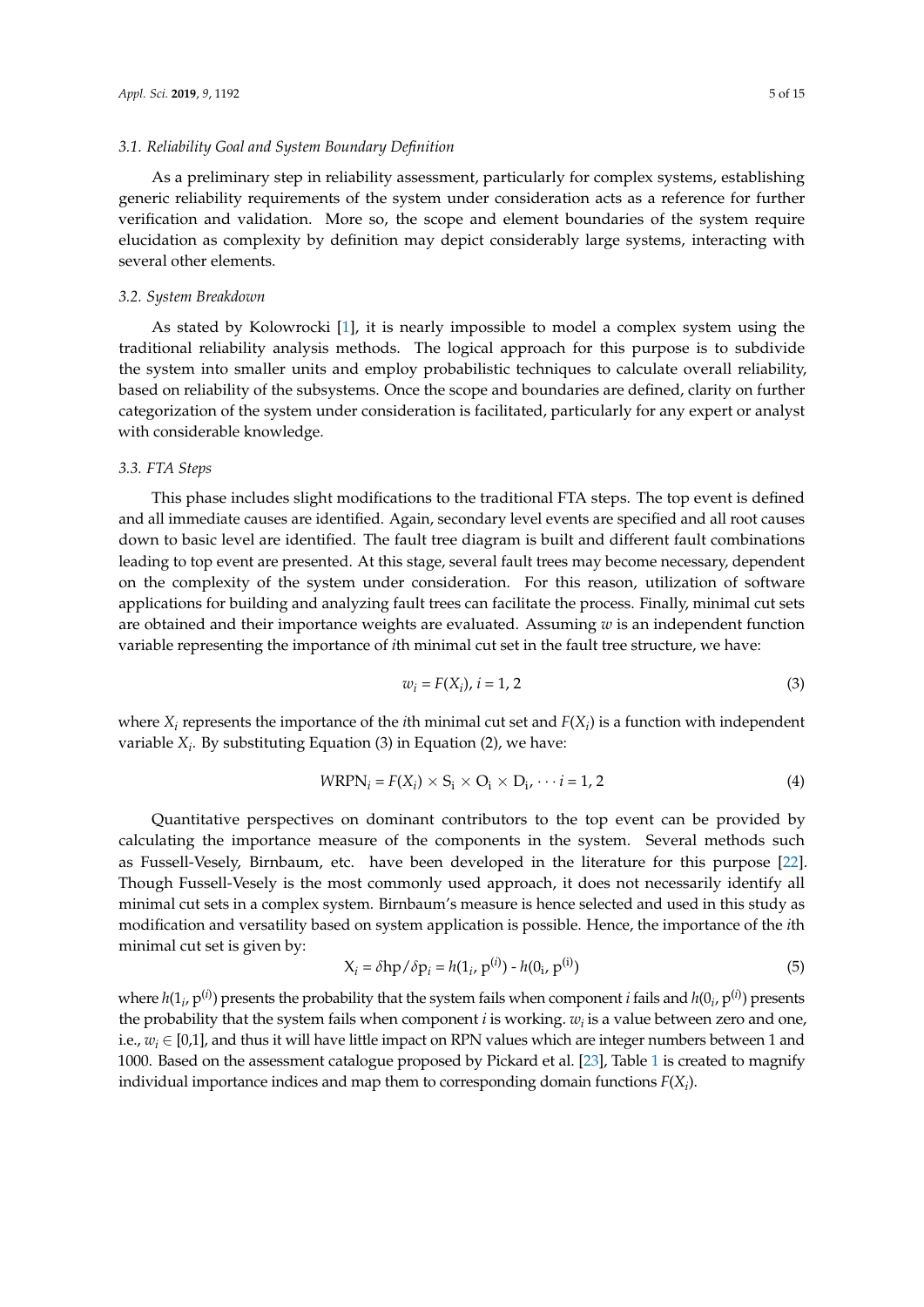As a preliminary step in reliability assessment, particularly for complex systems, establishing generic reliability requirements of the system under consideration acts as a reference for further verification and validation. More so, the scope and element boundaries of the system require elucidation as complexity by definition may depict considerably large systems, interacting with several other elements.

#### *3.2. System Breakdown*

As stated by Kolowrocki [1], it is nearly impossible to model a complex system using the traditional reliability analysis methods. The logical approach for this purpose is to subdivide the system into smaller units and employ probabilistic techniques to calculate overall reliability, based on reliability of the subsystems. Once the scope and boundaries are defined, clarity on further categorization of the system under consideration is facilitated, particularly for any expert or analyst with considerable knowledge.

#### *3.3. FTA Steps*

This phase includes slight modifications to the traditional FTA steps. The top event is defined and all immediate causes are identified. Again, secondary level events are specified and all root causes down to basic level are identified. The fault tree diagram is built and different fault combinations leading to top event are presented. At this stage, several fault trees may become necessary, dependent on the complexity of the system under consideration. For this reason, utilization of software applications for building and analyzing fault trees can facilitate the process. Finally, minimal cut sets are obtained and their importance weights are evaluated. Assuming *w* is an independent function variable representing the importance of *i*th minimal cut set in the fault tree structure, we have:

$$
w_i = F(X_i), \, i = 1, 2 \tag{3}
$$

where  $X_i$  represents the importance of the *i*th minimal cut set and  $F(X_i)$  is a function with independent variable *X<sup>i</sup> .* By substituting Equation (3) in Equation (2), we have:

$$
WRPN_i = F(X_i) \times S_i \times O_i \times D_i, \dots = 1, 2
$$
\n<sup>(4)</sup>

Quantitative perspectives on dominant contributors to the top event can be provided by calculating the importance measure of the components in the system. Several methods such as Fussell-Vesely, Birnbaum, etc. have been developed in the literature for this purpose [22]. Though Fussell-Vesely is the most commonly used approach, it does not necessarily identify all minimal cut sets in a complex system. Birnbaum's measure is hence selected and used in this study as modification and versatility based on system application is possible. Hence, the importance of the *i*th minimal cut set is given by:

$$
X_i = \delta h p / \delta p_i = h(1_i, p^{(i)}) - h(0_i, p^{(i)})
$$
\n(5)

where  $h(1_i, p^{(i)})$  presents the probability that the system fails when component *i* fails and  $h(0_i, p^{(i)})$  presents the probability that the system fails when component *i* is working. *w<sup>i</sup>* is a value between zero and one, i.e.,  $w_i \in [0,1]$ , and thus it will have little impact on RPN values which are integer numbers between 1 and 1000. Based on the assessment catalogue proposed by Pickard et al. [23], Table 1 is created to magnify individual importance indices and map them to corresponding domain functions *F*(*X<sup>i</sup>* ).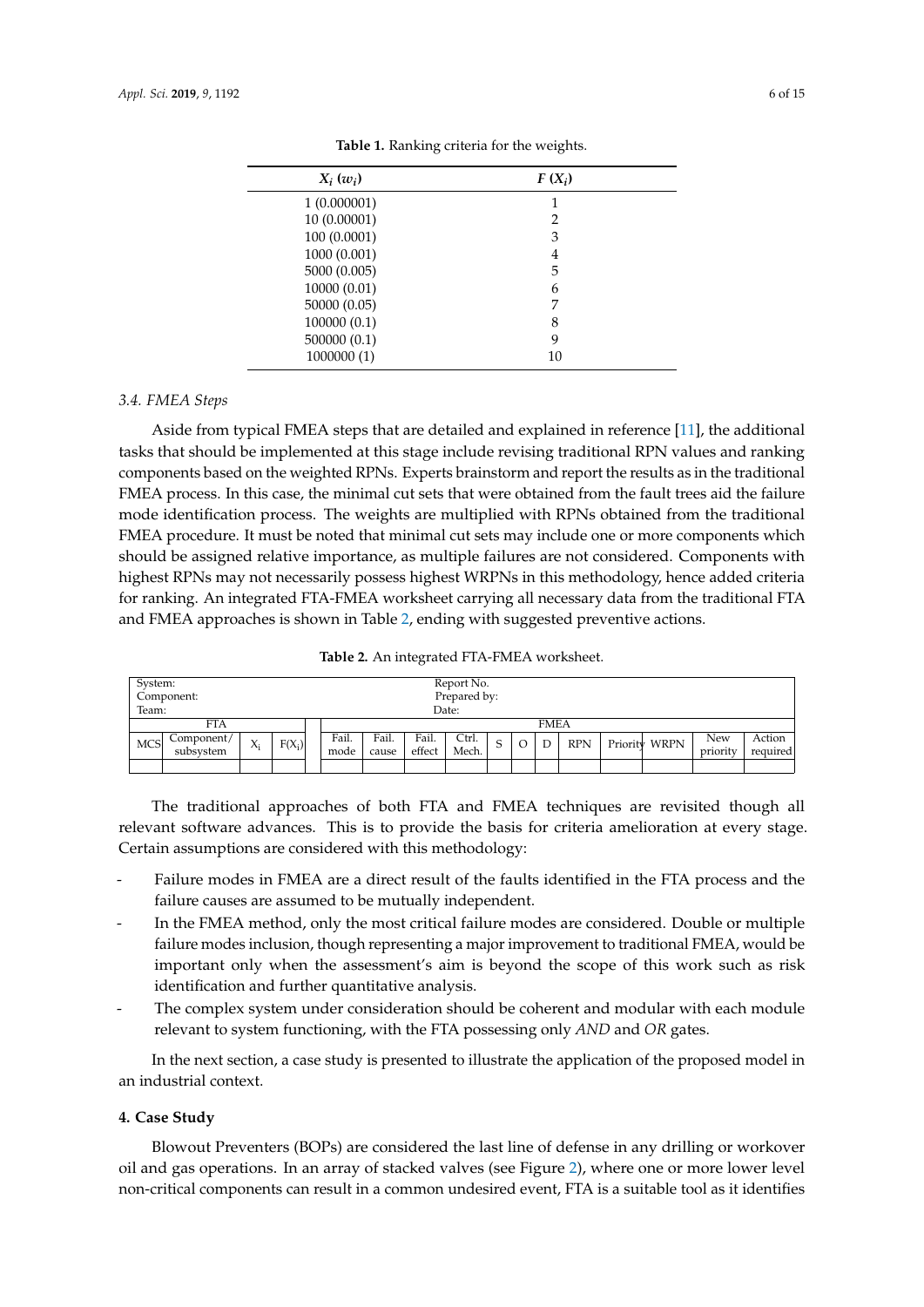| $X_i(w_i)$   | $F(X_i)$       |
|--------------|----------------|
| 1(0.000001)  |                |
| 10 (0.00001) | $\overline{2}$ |
| 100 (0.0001) | 3              |
| 1000 (0.001) | 4              |
| 5000 (0.005) | 5              |
| 10000 (0.01) | 6              |
| 50000 (0.05) | 7              |
| 100000(0.1)  | 8              |
| 500000(0.1)  | 9              |
| 1000000 (1)  | 10             |

**Table 1.** Ranking criteria for the weights.

#### *3.4. FMEA Steps*

Aside from typical FMEA steps that are detailed and explained in reference [11], the additional tasks that should be implemented at this stage include revising traditional RPN values and ranking components based on the weighted RPNs. Experts brainstorm and report the results as in the traditional FMEA process. In this case, the minimal cut sets that were obtained from the fault trees aid the failure mode identification process. The weights are multiplied with RPNs obtained from the traditional FMEA procedure. It must be noted that minimal cut sets may include one or more components which should be assigned relative importance, as multiple failures are not considered. Components with highest RPNs may not necessarily possess highest WRPNs in this methodology, hence added criteria for ranking. An integrated FTA-FMEA worksheet carrying all necessary data from the traditional FTA and FMEA approaches is shown in Table 2, ending with suggested preventive actions.

| Table 2. An integrated FTA-FMEA worksheet. |  |  |
|--------------------------------------------|--|--|
|--------------------------------------------|--|--|

| System:    |            |       |          |       |       |        | Report No.   |   |             |            |               |            |          |
|------------|------------|-------|----------|-------|-------|--------|--------------|---|-------------|------------|---------------|------------|----------|
|            | Component: |       |          |       |       |        | Prepared by: |   |             |            |               |            |          |
| Team:      |            |       |          |       |       |        | Date:        |   |             |            |               |            |          |
|            | <b>FTA</b> |       |          |       |       |        |              |   | <b>FMEA</b> |            |               |            |          |
| <b>MCS</b> | Component/ | $X_i$ | $F(X_i)$ | Fail. | Fail. | Fail.  | Ctrl.        | S | D           | <b>RPN</b> | Priority WRPN | <b>New</b> | Action   |
|            | subsystem  |       |          | mode  | cause | effect | Mech.        |   |             |            |               | priority   | required |
|            |            |       |          |       |       |        |              |   |             |            |               |            |          |

The traditional approaches of both FTA and FMEA techniques are revisited though all relevant software advances. This is to provide the basis for criteria amelioration at every stage. Certain assumptions are considered with this methodology:

- Failure modes in FMEA are a direct result of the faults identified in the FTA process and the failure causes are assumed to be mutually independent.
- In the FMEA method, only the most critical failure modes are considered. Double or multiple failure modes inclusion, though representing a major improvement to traditional FMEA, would be important only when the assessment's aim is beyond the scope of this work such as risk identification and further quantitative analysis.
- The complex system under consideration should be coherent and modular with each module relevant to system functioning, with the FTA possessing only *AND* and *OR* gates.

In the next section, a case study is presented to illustrate the application of the proposed model in an industrial context.

#### **4. Case Study**

Blowout Preventers (BOPs) are considered the last line of defense in any drilling or workover oil and gas operations. In an array of stacked valves (see Figure 2), where one or more lower level non-critical components can result in a common undesired event, FTA is a suitable tool as it identifies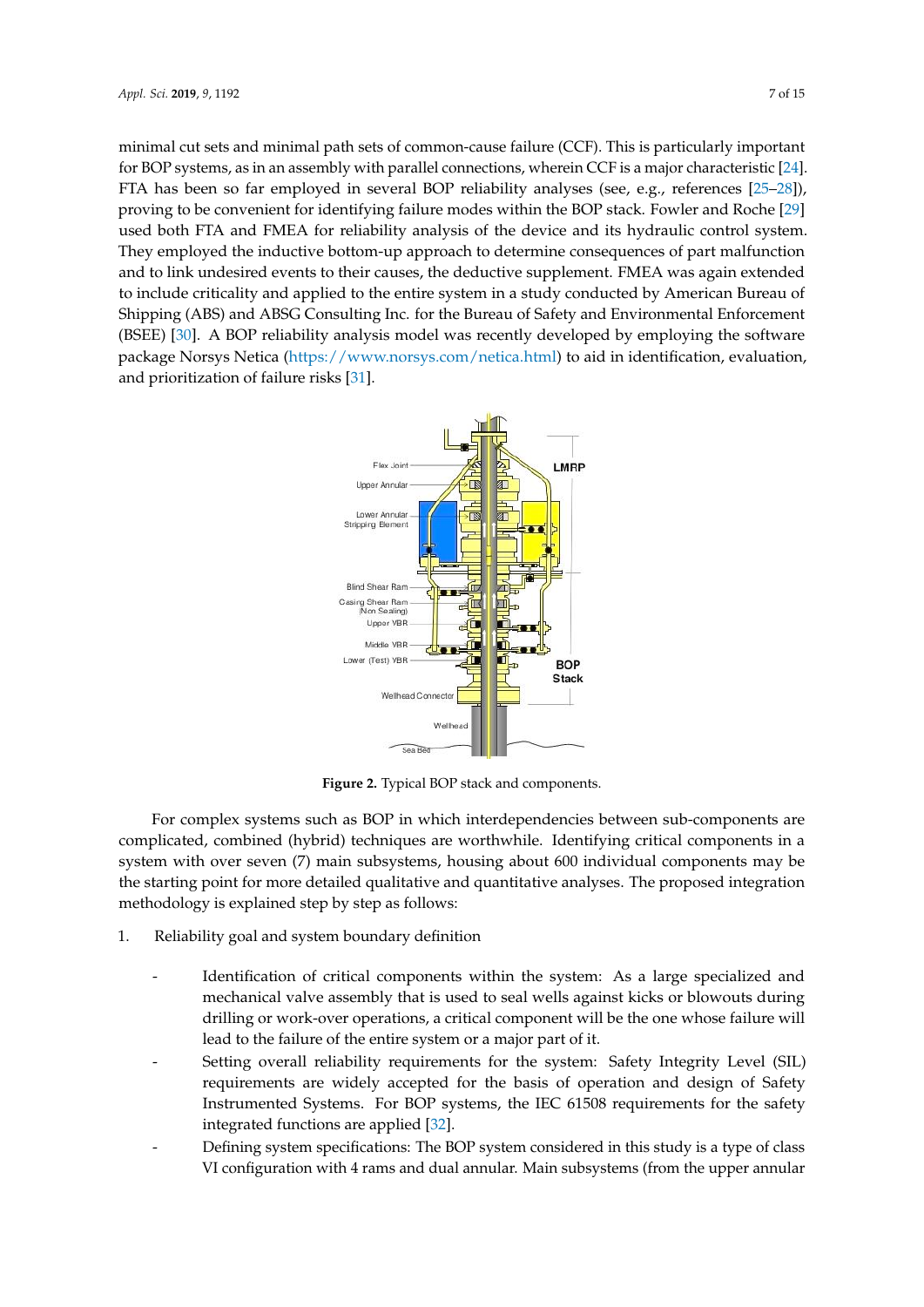minimal cut sets and minimal path sets of common-cause failure (CCF). This is particularly important for BOP systems, as in an assembly with parallel connections, wherein CCF is a major characteristic [24]. FTA has been so far employed in several BOP reliability analyses (see, e.g., references [25–28]), proving to be convenient for identifying failure modes within the BOP stack. Fowler and Roche [29] used both FTA and FMEA for reliability analysis of the device and its hydraulic control system. They employed the inductive bottom-up approach to determine consequences of part malfunction and to link undesired events to their causes, the deductive supplement. FMEA was again extended to include criticality and applied to the entire system in a study conducted by American Bureau of Shipping (ABS) and ABSG Consulting Inc. for the Bureau of Safety and Environmental Enforcement (BSEE) [30]. A BOP reliability analysis model was recently developed by employing the software package Norsys Netica [\(https://www.norsys.com/netica.html\)](https://www.norsys.com/netica.html) to aid in identification, evaluation, and prioritization of failure risks [31].



**Figure 2.** Typical BOP stack and components. **Figure 2.** Typical BOP stack and components.

For complex systems such as BOP in which interdependencies between sub-components are complicated, combined (hybrid) techniques are worthwhile. Identifying critical components in a complicated, combined (hybrid) techniques are worthwhile. Identifying critical components in a system with over seven (7) main subsystems, housing about 600 individual components may be the starting point for more detailed qualitative and quantitative analyses. The proposed integration methodology is explained step by step as follows: methodology is explained step by step as follows:

- 1. Reliability goal and system boundary definition 1. Reliability goal and system boundary definition
	- Identification of critical components within the system*:* As a large specialized and - Identification of critical components within the system: As a large specialized and mechanical valve assembly that is used to seal wells against kicks or blowouts during<br>will be the one will be the one will be the one will be the one will be the one will be the one will be the seal will be the seal of the drilling or work-over operations, a critical component will be the one whose failure will lead to the failure of the entire system or a major part of it.
	- Setting overall reliability requirements for the system: Safety Integrity Level (SIL) requirements are widely accepted for the basis of operation and design of Safety Instrumented Systems. For BOP systems, the IEC 61508 requirements for the safety integrated functions are applied [32].
	- Defining system specifications: The BOP system considered in this study is a type of class VI configuration with 4 rams and dual annular. Main subsystems (from the upper annular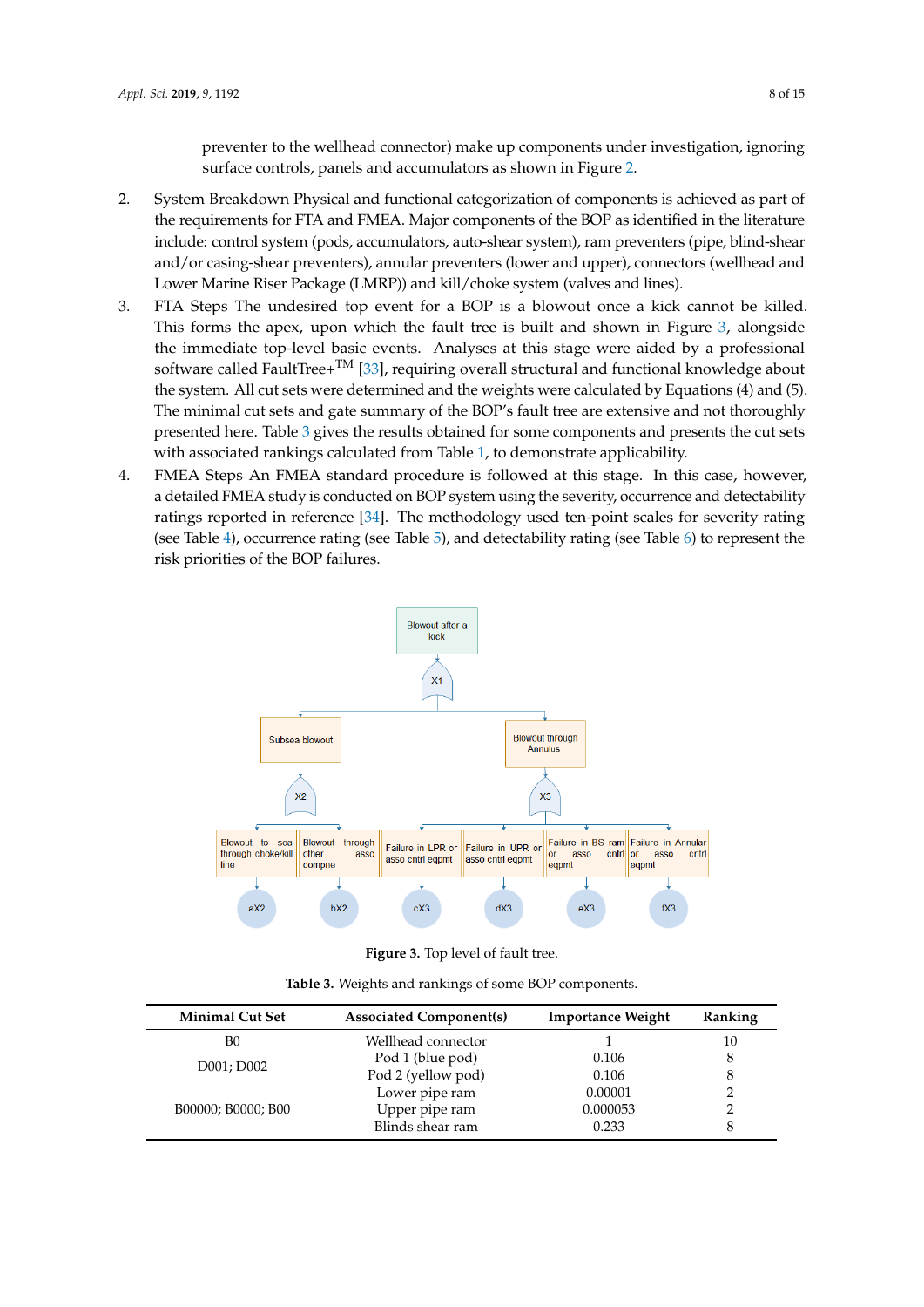preventer to the wellhead connector) make up components under investigation, ignoring surface controls, panels and accumulators as shown in Figure 2.

- 2. System Breakdown Physical and functional categorization of components is achieved as part of the requirements for FTA and FMEA. Major components of the BOP as identified in the literature include: control system (pods, accumulators, auto-shear system), ram preventers (pipe, blind-shear and/or casing-shear preventers), annular preventers (lower and upper), connectors (wellhead and Lower Marine Riser Package (LMRP)) and kill/choke system (valves and lines).
- 3. FTA Steps The undesired top event for a BOP is a blowout once a kick cannot be killed. This forms the apex, upon which the fault tree is built and shown in Figure 3, alongside the immediate top-level basic events. Analyses at this stage were aided by a professional software called FaultTree+<sup>TM</sup> [33], requiring overall structural and functional knowledge about the system. All cut sets were determined and the weights were calculated by Equations (4) and (5). The minimal cut sets and gate summary of the BOP's fault tree are extensive and not thoroughly presented here. Table 3 gives the results obtained for some components and presents the cut sets with associated rankings calculated from Table 1, to demonstrate applicability.
- 4. FMEA Steps An FMEA standard procedure is followed at this stage. In this case, however, a detailed FMEA study is conducted on BOP system using the severity, occurrence and detectability ratings reported in reference [34]. The methodology used ten-point scales for severity rating (see Table 4), occurrence rating (see Table 5), and detectability rating (see Table  $6$ ) to represent the risk priorities of the BOP failures.<br>



**Figure 3.** Top level of fault tree**. Figure 3.**Top level of fault tree.

**Table 3.** Weights and rankings of some BOP components.

| <b>Minimal Cut Set</b> | <b>Associated Component(s)</b> | <b>Importance Weight</b> | Ranking |
|------------------------|--------------------------------|--------------------------|---------|
| B0                     | Wellhead connector             |                          | 10      |
|                        | Pod 1 (blue pod)               | 0.106                    | 8       |
| D001; D002             | Pod 2 (yellow pod)             | 0.106                    | 8       |
|                        | Lower pipe ram                 | 0.00001                  |         |
| B00000; B0000; B00     | Upper pipe ram                 | 0.000053                 |         |
|                        | Blinds shear ram               | 0.233                    |         |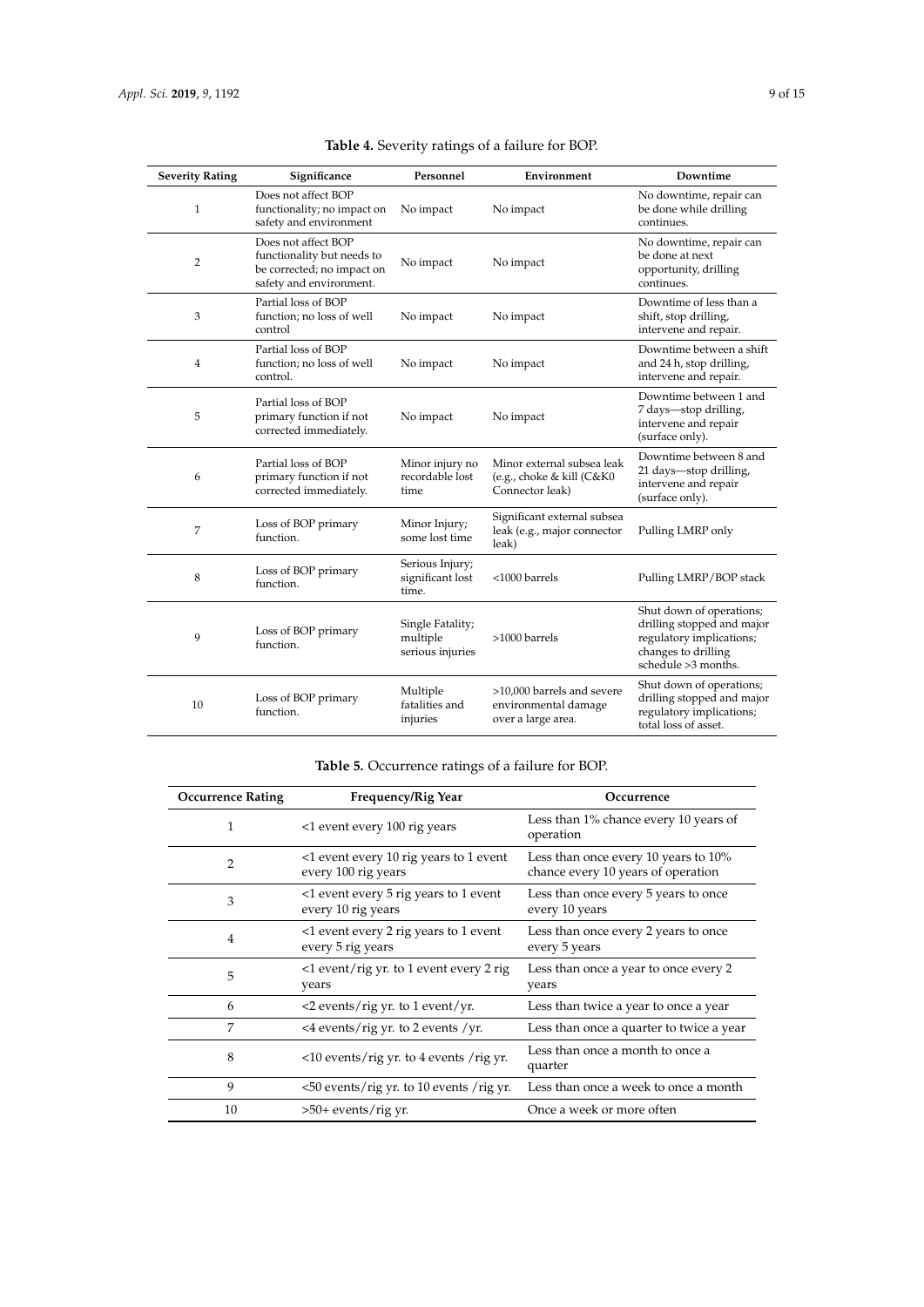| <b>Severity Rating</b> | Significance                                                                                               | Personnel                                        | Environment                                                                | Downtime                                                                                                                         |
|------------------------|------------------------------------------------------------------------------------------------------------|--------------------------------------------------|----------------------------------------------------------------------------|----------------------------------------------------------------------------------------------------------------------------------|
| $\mathbf{1}$           | Does not affect BOP<br>functionality; no impact on<br>safety and environment                               | No impact                                        | No impact                                                                  | No downtime, repair can<br>be done while drilling<br>continues.                                                                  |
| 2                      | Does not affect BOP<br>functionality but needs to<br>be corrected; no impact on<br>safety and environment. | No impact                                        | No impact                                                                  | No downtime, repair can<br>be done at next<br>opportunity, drilling<br>continues.                                                |
| 3                      | Partial loss of BOP<br>function; no loss of well<br>control                                                | No impact                                        | No impact                                                                  | Downtime of less than a<br>shift, stop drilling,<br>intervene and repair.                                                        |
| $\overline{4}$         | Partial loss of BOP<br>function; no loss of well<br>control.                                               | No impact                                        | No impact                                                                  | Downtime between a shift<br>and 24 h, stop drilling,<br>intervene and repair.                                                    |
| 5                      | Partial loss of BOP<br>primary function if not<br>corrected immediately.                                   | No impact                                        | No impact                                                                  | Downtime between 1 and<br>7 days-stop drilling,<br>intervene and repair<br>(surface only).                                       |
| 6                      | Partial loss of BOP<br>primary function if not<br>corrected immediately.                                   | Minor injury no<br>recordable lost<br>time       | Minor external subsea leak<br>(e.g., choke & kill (C&K0<br>Connector leak) | Downtime between 8 and<br>21 days-stop drilling,<br>intervene and repair<br>(surface only).                                      |
| 7                      | Loss of BOP primary<br>function.                                                                           | Minor Injury;<br>some lost time                  | Significant external subsea<br>leak (e.g., major connector<br>leak)        | Pulling LMRP only                                                                                                                |
| 8                      | Loss of BOP primary<br>function.                                                                           | Serious Injury;<br>significant lost<br>time.     | <1000 barrels                                                              | Pulling LMRP/BOP stack                                                                                                           |
| 9                      | Loss of BOP primary<br>function.                                                                           | Single Fatality;<br>multiple<br>serious injuries | $>1000$ barrels                                                            | Shut down of operations;<br>drilling stopped and major<br>regulatory implications;<br>changes to drilling<br>schedule >3 months. |
| 10                     | Loss of BOP primary<br>function.                                                                           | Multiple<br>fatalities and<br>injuries           | >10,000 barrels and severe<br>environmental damage<br>over a large area.   | Shut down of operations;<br>drilling stopped and major<br>regulatory implications;<br>total loss of asset.                       |

| Table 4. Severity ratings of a failure for BOP. |  |  |  |
|-------------------------------------------------|--|--|--|
|-------------------------------------------------|--|--|--|

## **Table 5.** Occurrence ratings of a failure for BOP.

| <b>Occurrence Rating</b> | Frequency/Rig Year                                            | Occurrence                                                                 |
|--------------------------|---------------------------------------------------------------|----------------------------------------------------------------------------|
| 1                        | <1 event every 100 rig years                                  | Less than 1% chance every 10 years of<br>operation                         |
| $\overline{2}$           | <1 event every 10 rig years to 1 event<br>every 100 rig years | Less than once every 10 years to 10%<br>chance every 10 years of operation |
| 3                        | <1 event every 5 rig years to 1 event<br>every 10 rig years   | Less than once every 5 years to once<br>every 10 years                     |
| 4                        | <1 event every 2 rig years to 1 event<br>every 5 rig years    | Less than once every 2 years to once<br>every 5 years                      |
| 5                        | $\langle$ 1 event/rig yr. to 1 event every 2 rig<br>years     | Less than once a year to once every 2<br>years                             |
| 6                        | $\langle$ 2 events/rig yr. to 1 event/yr.                     | Less than twice a year to once a year                                      |
| 7                        | $\langle$ 4 events/rig yr. to 2 events /yr.                   | Less than once a quarter to twice a year                                   |
| 8                        | $\langle$ 10 events/rig yr. to 4 events/rig yr.               | Less than once a month to once a<br>quarter                                |
| 9                        | <50 events/rig yr. to 10 events /rig yr.                      | Less than once a week to once a month                                      |
| 10                       | $>50+$ events/rig yr.                                         | Once a week or more often                                                  |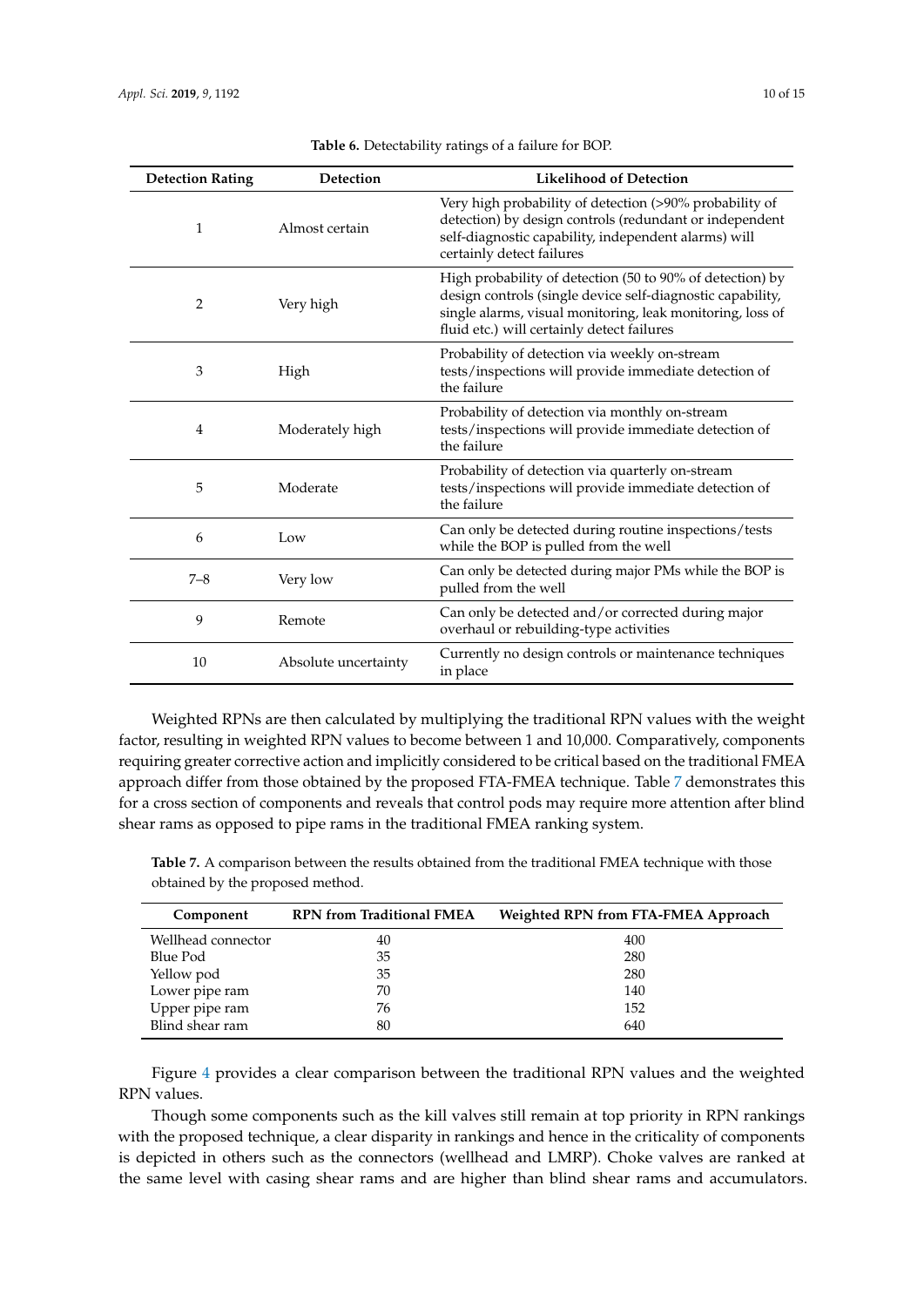| <b>Detection Rating</b> | Detection            | <b>Likelihood of Detection</b>                                                                                                                                                                                                      |
|-------------------------|----------------------|-------------------------------------------------------------------------------------------------------------------------------------------------------------------------------------------------------------------------------------|
| 1                       | Almost certain       | Very high probability of detection (>90% probability of<br>detection) by design controls (redundant or independent<br>self-diagnostic capability, independent alarms) will<br>certainly detect failures                             |
| 2                       | Very high            | High probability of detection (50 to 90% of detection) by<br>design controls (single device self-diagnostic capability,<br>single alarms, visual monitoring, leak monitoring, loss of<br>fluid etc.) will certainly detect failures |
| 3                       | High                 | Probability of detection via weekly on-stream<br>tests/inspections will provide immediate detection of<br>the failure                                                                                                               |
| 4                       | Moderately high      | Probability of detection via monthly on-stream<br>tests/inspections will provide immediate detection of<br>the failure                                                                                                              |
| 5                       | Moderate             | Probability of detection via quarterly on-stream<br>tests/inspections will provide immediate detection of<br>the failure                                                                                                            |
| 6                       | Low                  | Can only be detected during routine inspections/tests<br>while the BOP is pulled from the well                                                                                                                                      |
| $7 - 8$                 | Very low             | Can only be detected during major PMs while the BOP is<br>pulled from the well                                                                                                                                                      |
| 9                       | Remote               | Can only be detected and/or corrected during major<br>overhaul or rebuilding-type activities                                                                                                                                        |
| 10                      | Absolute uncertainty | Currently no design controls or maintenance techniques<br>in place                                                                                                                                                                  |

|  | Table 6. Detectability ratings of a failure for BOP. |  |  |
|--|------------------------------------------------------|--|--|
|--|------------------------------------------------------|--|--|

Weighted RPNs are then calculated by multiplying the traditional RPN values with the weight factor, resulting in weighted RPN values to become between 1 and 10,000. Comparatively, components requiring greater corrective action and implicitly considered to be critical based on the traditional FMEA approach differ from those obtained by the proposed FTA-FMEA technique. Table 7 demonstrates this for a cross section of components and reveals that control pods may require more attention after blind shear rams as opposed to pipe rams in the traditional FMEA ranking system.

**Table 7.** A comparison between the results obtained from the traditional FMEA technique with those obtained by the proposed method.

| Component          | <b>RPN</b> from Traditional FMEA | Weighted RPN from FTA-FMEA Approach |
|--------------------|----------------------------------|-------------------------------------|
| Wellhead connector | 40                               | 400                                 |
| Blue Pod           | 35                               | 280                                 |
| Yellow pod         | 35                               | 280                                 |
| Lower pipe ram     | 70                               | 140                                 |
| Upper pipe ram     | 76                               | 152                                 |
| Blind shear ram    | 80                               | 640                                 |

Figure 4 provides a clear comparison between the traditional RPN values and the weighted RPN values.

Though some components such as the kill valves still remain at top priority in RPN rankings with the proposed technique, a clear disparity in rankings and hence in the criticality of components is depicted in others such as the connectors (wellhead and LMRP). Choke valves are ranked at the same level with casing shear rams and are higher than blind shear rams and accumulators.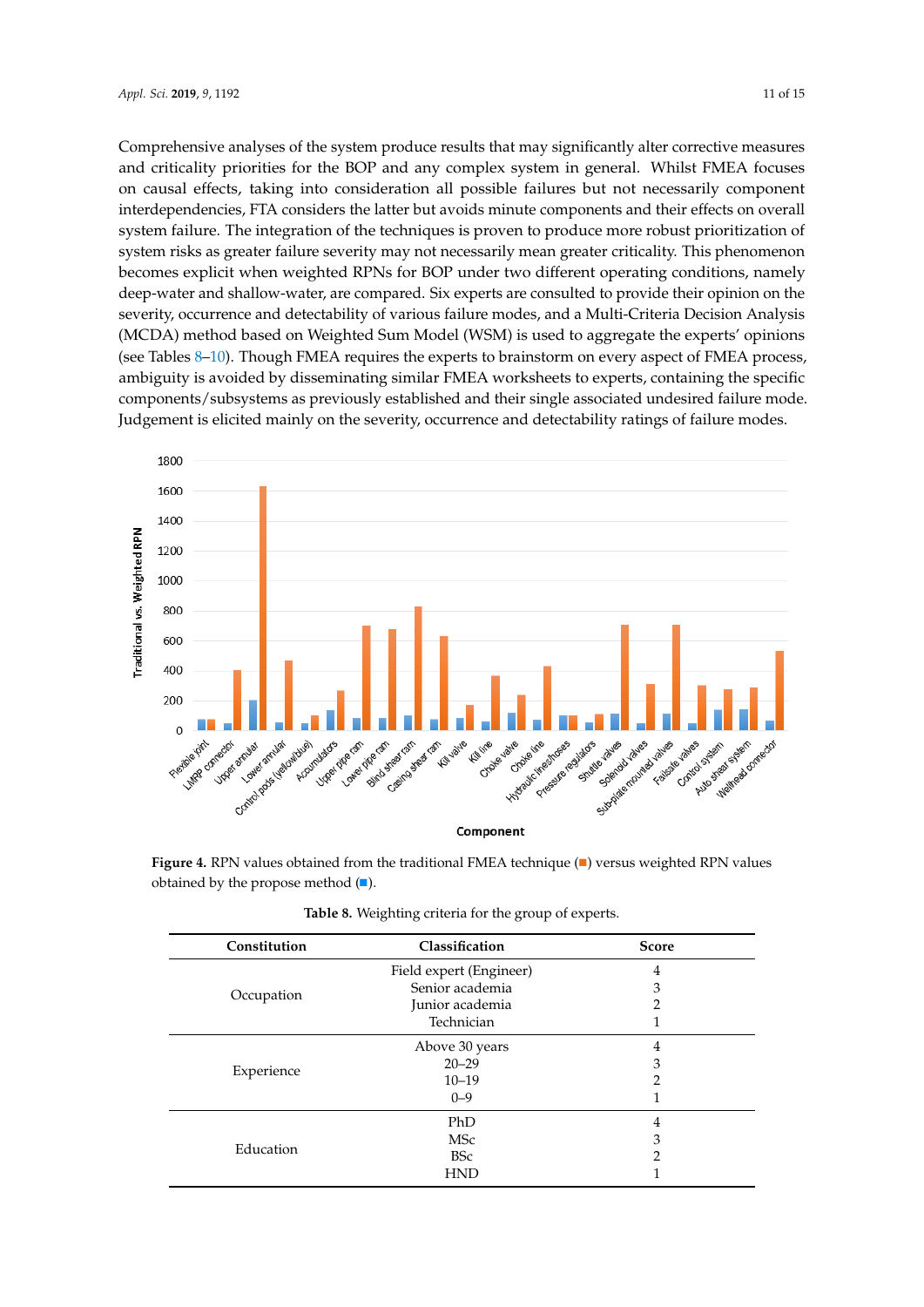Comprehensive analyses of the system produce results that may significantly alter corrective measures and criticality priorities for the BOP and any complex system in general. Whilst FMEA focuses on causal effects, taking into consideration all possible failures but not necessarily component interdependencies, FTA considers the latter but avoids minute components and their effects on overall system failure. The integration of the techniques is proven to produce more robust prioritization of system risks as greater failure severity may not necessarily mean greater criticality. This phenomenon becomes explicit when weighted RPNs for BOP under two different operating conditions, namely deep-water and shallow-water, are compared. Six experts are consulted to provide their opinion on the severity, occurrence and detectability of various failure modes, and a Multi-Criteria Decision Analysis (MCDA) method based on Weighted Sum Model (WSM) is used to aggregate the experts' opinions (see Tables 8–10). Though FMEA requires the experts to brainstorm on every aspect of FMEA process, ambiguity is avoided by disseminating similar FMEA worksheets to experts, containing the specific components/subsystems as previously established and their single associated undesired failure mode. Judgement is elicited mainly on the severity, occurrence and detectability ratings of failure modes. *Components (subsystems as previously established and their single associated undesired failure mode* 



**Figure 4.** Represented (■). Figure 4. RPN values obtained from the traditional FMEA technique ( $\blacksquare$ ) versus weighted RPN values

| Constitution | Classification          | <b>Score</b> |
|--------------|-------------------------|--------------|
|              | Field expert (Engineer) | 4            |
|              | Senior academia         | 3            |
| Occupation   | Junior academia         |              |
|              | Technician              |              |
|              | Above 30 years          | 4            |
| Experience   | $20 - 29$               | 3            |
|              | $10 - 19$               |              |
|              | $0 - 9$                 |              |
|              | PhD                     | 4            |
| Education    | <b>MSc</b>              | З            |
|              | <b>BSc</b>              |              |
|              | <b>HND</b>              |              |

Table 8. Weighting criteria for the group of experts.

values obtained by the propose method (∎).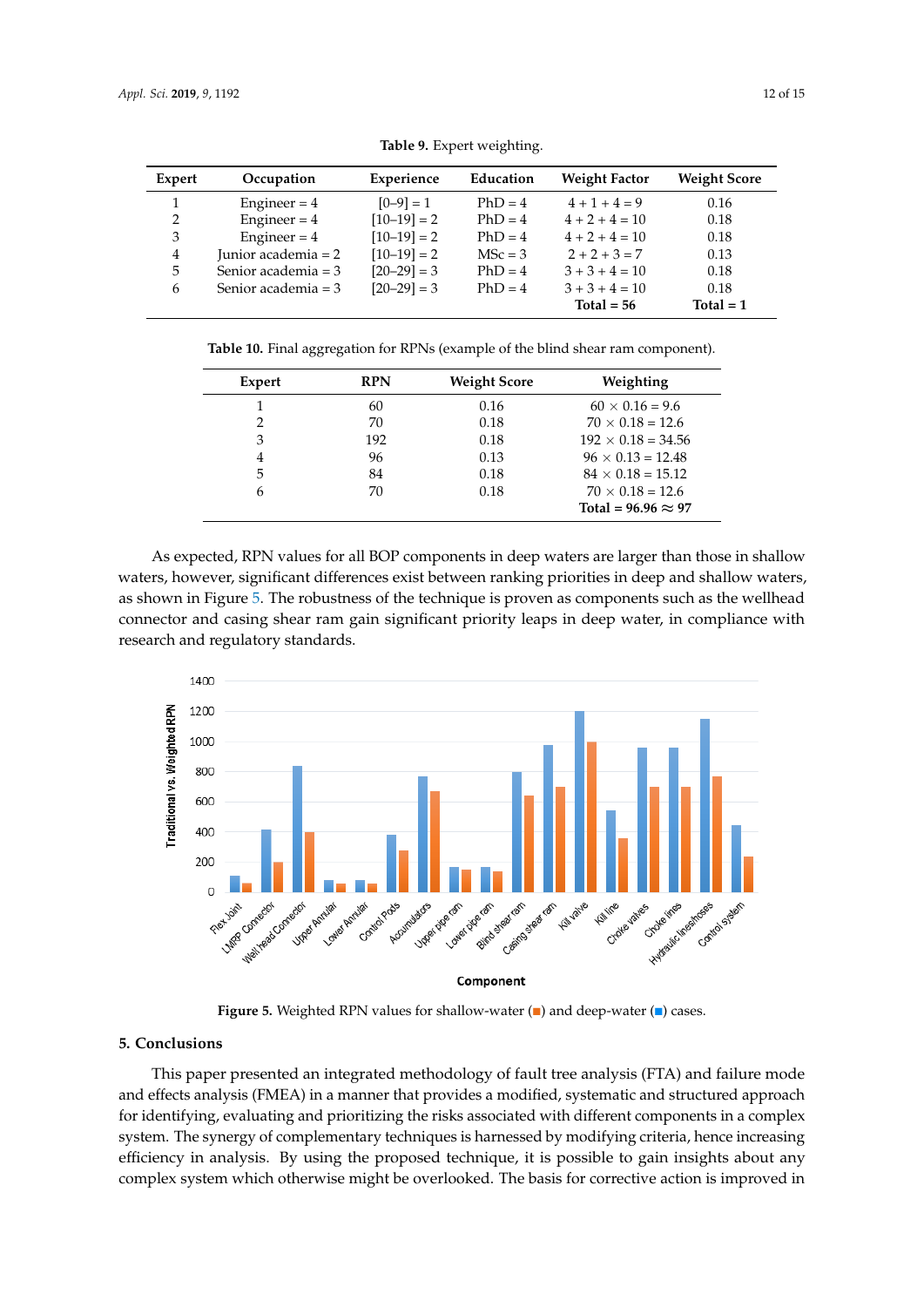| Expert        | Occupation          | Experience    | Education | <b>Weight Factor</b> | <b>Weight Score</b> |
|---------------|---------------------|---------------|-----------|----------------------|---------------------|
|               | Engineer = $4$      | $[0-9] = 1$   | $PhD = 4$ | $4+1+4=9$            | 0.16                |
| $\mathcal{L}$ | Engineer = $4$      | $[10-19] = 2$ | $PhD = 4$ | $4 + 2 + 4 = 10$     | 0.18                |
| 3             | Engineer = $4$      | $[10-19] = 2$ | $PhD = 4$ | $4 + 2 + 4 = 10$     | 0.18                |
| 4             | Junior academia = 2 | $[10-19] = 2$ | $MSc = 3$ | $2 + 2 + 3 = 7$      | 0.13                |
| 5             | Senior academia = 3 | $[20-29] = 3$ | $PhD = 4$ | $3 + 3 + 4 = 10$     | 0.18                |
| 6             | Senior academia = 3 | $[20-29] = 3$ | $PhD = 4$ | $3 + 3 + 4 = 10$     | 0.18                |
|               |                     |               |           | Total = $56$         | Total $= 1$         |
|               |                     |               |           |                      |                     |

**Table 9.** Expert weighting. **Table 9.** Expert weighting.

**Table 10.** Final aggregation for RPNs (example of the blind shear ram component). **Table 10.** Final aggregation for RPNs (example of the blind shear ram component).

| Expert        | <b>RPN</b> | <b>Weight Score</b> | Weighting                  |
|---------------|------------|---------------------|----------------------------|
|               | 60         | 0.16                | $60 \times 0.16 = 9.6$     |
| ∍             | 70         | 0.18                | $70 \times 0.18 = 12.6$    |
| 3             | 192        | 0.18                | $192 \times 0.18 = 34.56$  |
| 4             | 96         | 0.13                | $96 \times 0.13 = 12.48$   |
| 5             | 84         | 0.18                | $84 \times 0.18 = 15.12$   |
| $\mathfrak b$ | 70         | 0.18                | $70 \times 0.18 = 12.6$    |
|               |            |                     | Total = $96.96 \approx 97$ |

As expected, RPN values for all BOP components in deep waters are larger than those in shallow As expected, RPN values for all BOP components in deep waters are larger than those in waters, however, significant differences exist between ranking priorities in deep and shallow waters, as shown in Figure 5. The robustness of the technique is proven as components such as the wellhead connector and casing shear ram gain significant priority leaps in deep water, in compliance with research and regulatory standards.



Figure 5. Weighted RPN values for shallow-water (■) and deep-water (■) cases.

#### values obtained by the propose method (∎). **5. Conclusions**

This paper presented an integrated methodology of fault tree analysis (FTA) and failure mode and effects analysis (FMEA) in a manner that provides a modified, systematic and structured approach for identifying, evaluating and prioritizing the risks associated with different components in a complex system. The synergy of complementary techniques is harnessed by modifying criteria, hence increasing efficiency in analysis. By using the proposed technique, it is possible to gain insights about any complex grotom which otherwise might be everlooked. The besis for corrective setion is improved. focus on causal effects, taking into consideration all possible failures but not necessarily  $\frac{1}{2}$ complex system which otherwise might be overlooked. The basis for corrective action is improved in  $\frac{1}{\sqrt{2}}$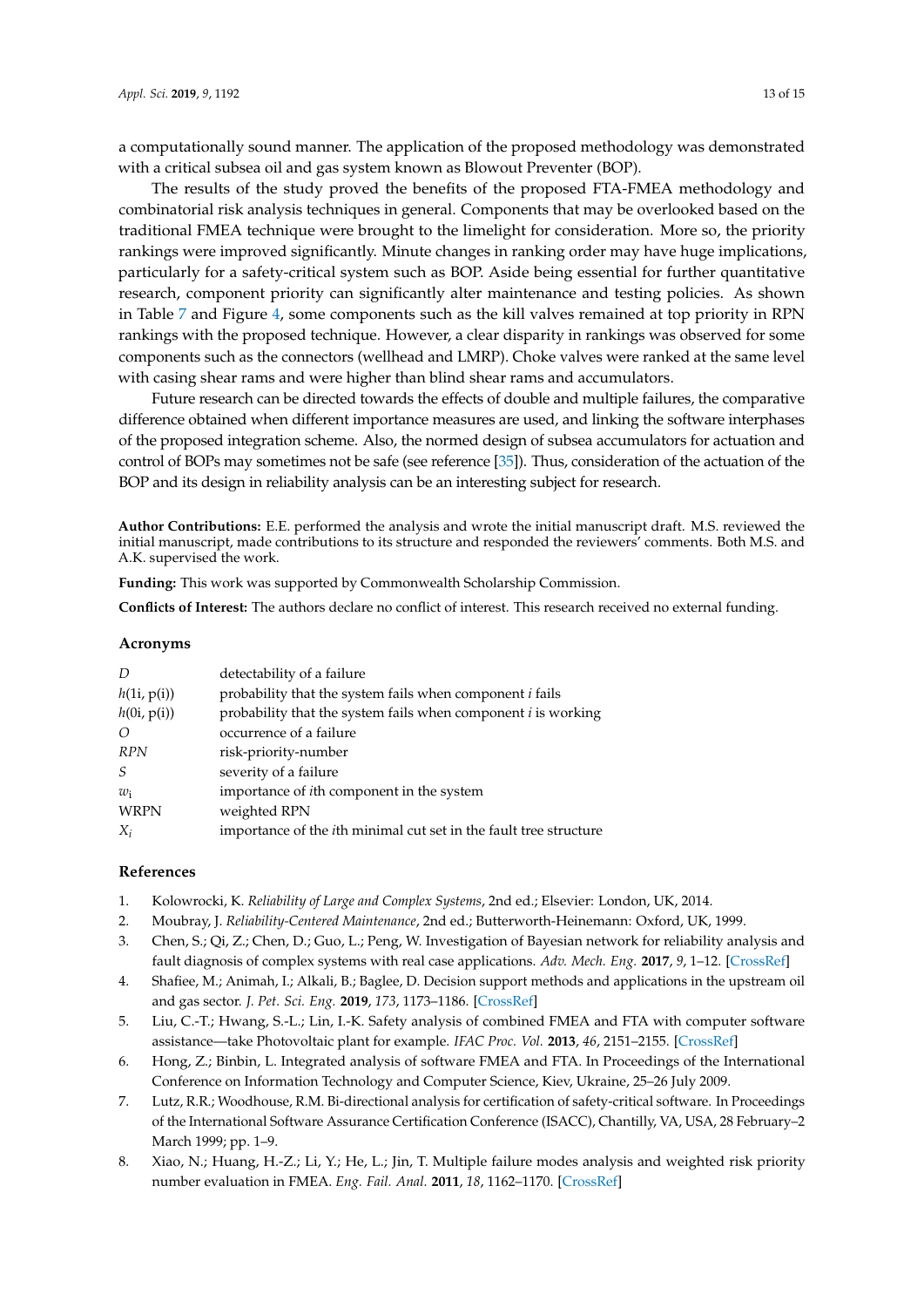a computationally sound manner. The application of the proposed methodology was demonstrated with a critical subsea oil and gas system known as Blowout Preventer (BOP).

The results of the study proved the benefits of the proposed FTA-FMEA methodology and combinatorial risk analysis techniques in general. Components that may be overlooked based on the traditional FMEA technique were brought to the limelight for consideration. More so, the priority rankings were improved significantly. Minute changes in ranking order may have huge implications, particularly for a safety-critical system such as BOP. Aside being essential for further quantitative research, component priority can significantly alter maintenance and testing policies. As shown in Table 7 and Figure 4, some components such as the kill valves remained at top priority in RPN rankings with the proposed technique. However, a clear disparity in rankings was observed for some components such as the connectors (wellhead and LMRP). Choke valves were ranked at the same level with casing shear rams and were higher than blind shear rams and accumulators.

Future research can be directed towards the effects of double and multiple failures, the comparative difference obtained when different importance measures are used, and linking the software interphases of the proposed integration scheme. Also, the normed design of subsea accumulators for actuation and control of BOPs may sometimes not be safe (see reference [35]). Thus, consideration of the actuation of the BOP and its design in reliability analysis can be an interesting subject for research.

**Author Contributions:** E.E. performed the analysis and wrote the initial manuscript draft. M.S. reviewed the initial manuscript, made contributions to its structure and responded the reviewers' comments. Both M.S. and A.K. supervised the work.

**Funding:** This work was supported by Commonwealth Scholarship Commission.

**Conflicts of Interest:** The authors declare no conflict of interest. This research received no external funding.

#### **Acronyms**

| $\overline{D}$ | detectability of a failure                                                |
|----------------|---------------------------------------------------------------------------|
| h(1i, p(i))    | probability that the system fails when component i fails                  |
| h(0i, p(i))    | probability that the system fails when component $i$ is working           |
| $\Omega$       | occurrence of a failure                                                   |
| <b>RPN</b>     | risk-priority-number                                                      |
| S              | severity of a failure                                                     |
| $w_i$          | importance of <i>i</i> th component in the system                         |
| <b>WRPN</b>    | weighted RPN                                                              |
| $X_i$          | importance of the <i>i</i> th minimal cut set in the fault tree structure |

#### **References**

- 1. Kolowrocki, K. *Reliability of Large and Complex Systems*, 2nd ed.; Elsevier: London, UK, 2014.
- 2. Moubray, J. *Reliability-Centered Maintenance*, 2nd ed.; Butterworth-Heinemann: Oxford, UK, 1999.
- 3. Chen, S.; Qi, Z.; Chen, D.; Guo, L.; Peng, W. Investigation of Bayesian network for reliability analysis and fault diagnosis of complex systems with real case applications. *Adv. Mech. Eng.* **2017**, *9*, 1–12. [\[CrossRef\]](http://dx.doi.org/10.1177/1687814017728853)
- 4. Shafiee, M.; Animah, I.; Alkali, B.; Baglee, D. Decision support methods and applications in the upstream oil and gas sector. *J. Pet. Sci. Eng.* **2019**, *173*, 1173–1186. [\[CrossRef\]](http://dx.doi.org/10.1016/j.petrol.2018.10.050)
- 5. Liu, C.-T.; Hwang, S.-L.; Lin, I.-K. Safety analysis of combined FMEA and FTA with computer software assistance—take Photovoltaic plant for example. *IFAC Proc. Vol.* **2013**, *46*, 2151–2155. [\[CrossRef\]](http://dx.doi.org/10.3182/20130619-3-RU-3018.00370)
- 6. Hong, Z.; Binbin, L. Integrated analysis of software FMEA and FTA. In Proceedings of the International Conference on Information Technology and Computer Science, Kiev, Ukraine, 25–26 July 2009.
- 7. Lutz, R.R.; Woodhouse, R.M. Bi-directional analysis for certification of safety-critical software. In Proceedings of the International Software Assurance Certification Conference (ISACC), Chantilly, VA, USA, 28 February–2 March 1999; pp. 1–9.
- 8. Xiao, N.; Huang, H.-Z.; Li, Y.; He, L.; Jin, T. Multiple failure modes analysis and weighted risk priority number evaluation in FMEA. *Eng. Fail. Anal.* **2011**, *18*, 1162–1170. [\[CrossRef\]](http://dx.doi.org/10.1016/j.engfailanal.2011.02.004)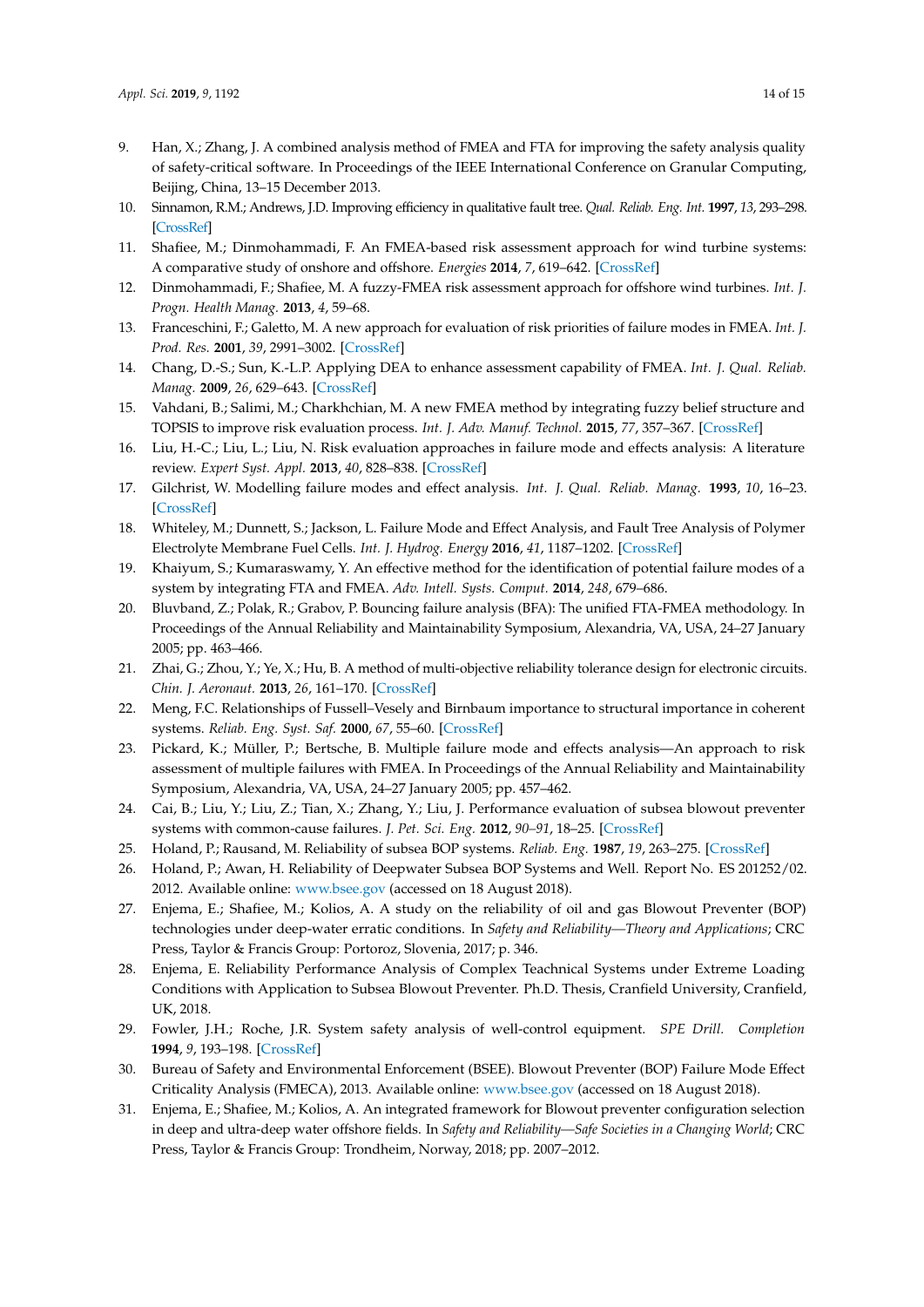- 9. Han, X.; Zhang, J. A combined analysis method of FMEA and FTA for improving the safety analysis quality of safety-critical software. In Proceedings of the IEEE International Conference on Granular Computing, Beijing, China, 13–15 December 2013.
- 10. Sinnamon, R.M.; Andrews, J.D. Improving efficiency in qualitative fault tree. *Qual. Reliab. Eng. Int.* **1997**, *13*, 293–298. [\[CrossRef\]](http://dx.doi.org/10.1002/(SICI)1099-1638(199709/10)13:5<293::AID-QRE110>3.0.CO;2-Y)
- 11. Shafiee, M.; Dinmohammadi, F. An FMEA-based risk assessment approach for wind turbine systems: A comparative study of onshore and offshore. *Energies* **2014**, *7*, 619–642. [\[CrossRef\]](http://dx.doi.org/10.3390/en7020619)
- 12. Dinmohammadi, F.; Shafiee, M. A fuzzy-FMEA risk assessment approach for offshore wind turbines. *Int. J. Progn. Health Manag.* **2013**, *4*, 59–68.
- 13. Franceschini, F.; Galetto, M. A new approach for evaluation of risk priorities of failure modes in FMEA. *Int. J. Prod. Res.* **2001**, *39*, 2991–3002. [\[CrossRef\]](http://dx.doi.org/10.1080/00207540110056162)
- 14. Chang, D.-S.; Sun, K.-L.P. Applying DEA to enhance assessment capability of FMEA. *Int. J. Qual. Reliab. Manag.* **2009**, *26*, 629–643. [\[CrossRef\]](http://dx.doi.org/10.1108/02656710910966165)
- 15. Vahdani, B.; Salimi, M.; Charkhchian, M. A new FMEA method by integrating fuzzy belief structure and TOPSIS to improve risk evaluation process. *Int. J. Adv. Manuf. Technol.* **2015**, *77*, 357–367. [\[CrossRef\]](http://dx.doi.org/10.1007/s00170-014-6466-3)
- 16. Liu, H.-C.; Liu, L.; Liu, N. Risk evaluation approaches in failure mode and effects analysis: A literature review. *Expert Syst. Appl.* **2013**, *40*, 828–838. [\[CrossRef\]](http://dx.doi.org/10.1016/j.eswa.2012.08.010)
- 17. Gilchrist, W. Modelling failure modes and effect analysis. *Int. J. Qual. Reliab. Manag.* **1993**, *10*, 16–23. [\[CrossRef\]](http://dx.doi.org/10.1108/02656719310040105)
- 18. Whiteley, M.; Dunnett, S.; Jackson, L. Failure Mode and Effect Analysis, and Fault Tree Analysis of Polymer Electrolyte Membrane Fuel Cells. *Int. J. Hydrog. Energy* **2016**, *41*, 1187–1202. [\[CrossRef\]](http://dx.doi.org/10.1016/j.ijhydene.2015.11.007)
- 19. Khaiyum, S.; Kumaraswamy, Y. An effective method for the identification of potential failure modes of a system by integrating FTA and FMEA. *Adv. Intell. Systs. Comput.* **2014**, *248*, 679–686.
- 20. Bluvband, Z.; Polak, R.; Grabov, P. Bouncing failure analysis (BFA): The unified FTA-FMEA methodology. In Proceedings of the Annual Reliability and Maintainability Symposium, Alexandria, VA, USA, 24–27 January 2005; pp. 463–466.
- 21. Zhai, G.; Zhou, Y.; Ye, X.; Hu, B. A method of multi-objective reliability tolerance design for electronic circuits. *Chin. J. Aeronaut.* **2013**, *26*, 161–170. [\[CrossRef\]](http://dx.doi.org/10.1016/j.cja.2012.12.005)
- 22. Meng, F.C. Relationships of Fussell–Vesely and Birnbaum importance to structural importance in coherent systems. *Reliab. Eng. Syst. Saf.* **2000**, *67*, 55–60. [\[CrossRef\]](http://dx.doi.org/10.1016/S0951-8320(99)00043-5)
- 23. Pickard, K.; Müller, P.; Bertsche, B. Multiple failure mode and effects analysis—An approach to risk assessment of multiple failures with FMEA. In Proceedings of the Annual Reliability and Maintainability Symposium, Alexandria, VA, USA, 24–27 January 2005; pp. 457–462.
- 24. Cai, B.; Liu, Y.; Liu, Z.; Tian, X.; Zhang, Y.; Liu, J. Performance evaluation of subsea blowout preventer systems with common-cause failures. *J. Pet. Sci. Eng.* **2012**, *90–91*, 18–25. [\[CrossRef\]](http://dx.doi.org/10.1016/j.petrol.2012.04.007)
- 25. Holand, P.; Rausand, M. Reliability of subsea BOP systems. *Reliab. Eng.* **1987**, *19*, 263–275. [\[CrossRef\]](http://dx.doi.org/10.1016/0143-8174(87)90058-8)
- 26. Holand, P.; Awan, H. Reliability of Deepwater Subsea BOP Systems and Well. Report No. ES 201252/02. 2012. Available online: <www.bsee.gov> (accessed on 18 August 2018).
- 27. Enjema, E.; Shafiee, M.; Kolios, A. A study on the reliability of oil and gas Blowout Preventer (BOP) technologies under deep-water erratic conditions. In *Safety and Reliability—Theory and Applications*; CRC Press, Taylor & Francis Group: Portoroz, Slovenia, 2017; p. 346.
- 28. Enjema, E. Reliability Performance Analysis of Complex Teachnical Systems under Extreme Loading Conditions with Application to Subsea Blowout Preventer. Ph.D. Thesis, Cranfield University, Cranfield, UK, 2018.
- 29. Fowler, J.H.; Roche, J.R. System safety analysis of well-control equipment. *SPE Drill. Completion* **1994**, *9*, 193–198. [\[CrossRef\]](http://dx.doi.org/10.2118/26844-PA)
- 30. Bureau of Safety and Environmental Enforcement (BSEE). Blowout Preventer (BOP) Failure Mode Effect Criticality Analysis (FMECA), 2013. Available online: <www.bsee.gov> (accessed on 18 August 2018).
- 31. Enjema, E.; Shafiee, M.; Kolios, A. An integrated framework for Blowout preventer configuration selection in deep and ultra-deep water offshore fields. In *Safety and Reliability—Safe Societies in a Changing World*; CRC Press, Taylor & Francis Group: Trondheim, Norway, 2018; pp. 2007–2012.